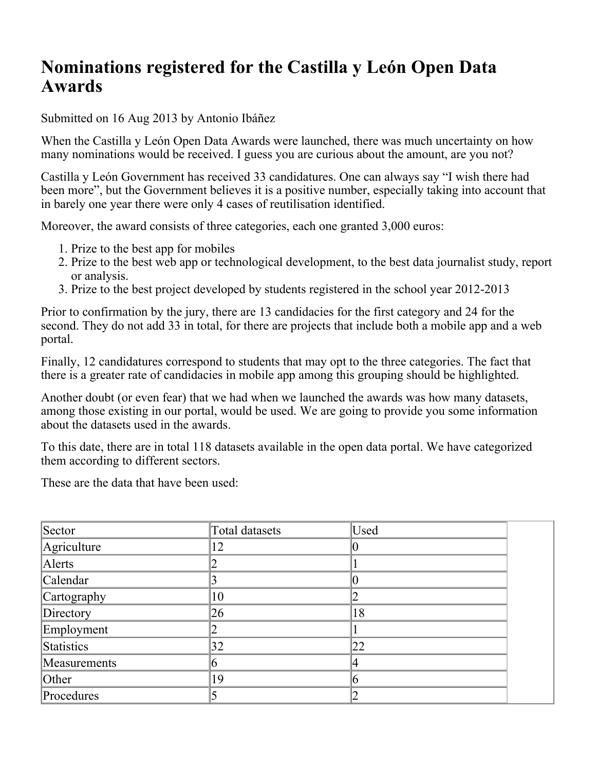## **Nominations registered for the Castilla y León Open Data Awards**

Submitted on 16 Aug 2013 by Antonio Ibáñez

When the Castilla y León Open Data Awards were launched, there was much uncertainty on how many nominations would be received. I guess you are curious about the amount, are you not?

Castilla y León Government has received 33 candidatures. One can always say "I wish there had been more", but the Government believes it is a positive number, especially taking into account that in barely one year there were only 4 cases of reutilisation identified.

Moreover, the award consists of three categories, each one granted 3,000 euros:

- 1. Prize to the best app for mobiles
- 2. Prize to the best web app or technological development, to the best data journalist study, report or analysis.
- 3. Prize to the best project developed by students registered in the school year 2012-2013

Prior to confirmation by the jury, there are 13 candidacies for the first category and 24 for the second. They do not add 33 in total, for there are projects that include both a mobile app and a web portal.

Finally, 12 candidatures correspond to students that may opt to the three categories. The fact that there is a greater rate of candidacies in mobile app among this grouping should be highlighted.

Another doubt (or even fear) that we had when we launched the awards was how many datasets, among those existing in our portal, would be used. We are going to provide you some information about the datasets used in the awards.

To this date, there are in total 118 datasets available in the open data portal. We have categorized them according to different sectors.

These are the data that have been used:

| Sector       | Total datasets | Used |  |
|--------------|----------------|------|--|
| Agriculture  | 12             |      |  |
| Alerts       |                |      |  |
| Calendar     |                |      |  |
| Cartography  | 10             |      |  |
| Directory    | 26             | 18   |  |
| Employment   |                |      |  |
| Statistics   | 32             | 22   |  |
| Measurements | h              |      |  |
| Other        | 19             | h    |  |
| Procedures   |                |      |  |